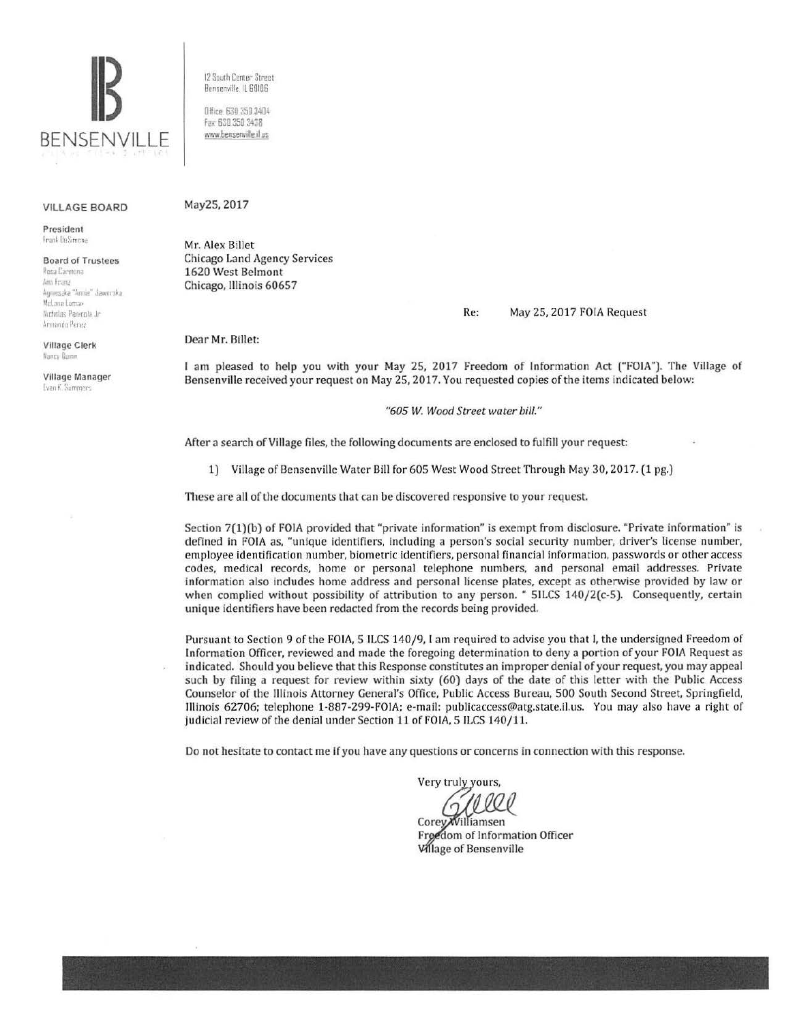

VILLAGE BOARD

President Frank DeSimone

Board of Trustees

Rosa Carmona *tm* franz Annieszka "Annie" . Jaworsku. Mel ane Lomax-Nicholas Panerola Jr. Armando Perez

Village Clerk Nancy Dainn

Village Manager **Evan K. Summers** 

12 South Center Street Bensenville IL 60I06

Off *ce* 630 350 3404 Fax 630 350 3438 www.bensenville il us

May25, 2017

Mr. Alex Billet Chicago Land Agency Services 1620 West Belmont Chicago, Illinois 60657

Re: May 25, 2017 FOIA Request

Dear Mr. Billet:

I am pleased to help you with your May 25, 2017 Freedom of Information Act ("FOIA"). The Village of Bensenville received your request on May 25, 2017. You requested copies of the items indicated below:

*"605 W. Wood Street water bill."* 

After a search of Village files, the following documents are enclosed to fulfill your request:

1) Village of Bensenville Water Bill for 605 West Wood Street Through May 30, 2017. (1 pg.)

These are all of the documents that can be discovered responsive to your request.

Section 7(1)(b) of FOlA provided that "private information" is exempt from disclosure. "Private information" is defined in FOJA as, "unique identifiers, including a person's social security number, driver's license number, employee identification number, biometric identifiers, personal fina ncial information, passwords or other access codes, medical records, home or personal telephone numbers, and personal email addresses. Private information also includes home address and personal license plates. except as otherwise provided by law or when complied without possibility of attribution to any person. " 5ILCS 140/2(c-5). Consequently, certain unique identifiers have been redacted from the records being provided.

Pursuant to Section 9 of the FOIA, 5 ILCS 140/9, I am required to advise you that 1, the undersigned Freedom of Information Officer, reviewed and made the foregoing determination to deny a portion of your FOIA Request as indicated. Should you believe that this Response constitutes an improper denial of your request, you may appeal such by filing a request for review within sixty (60) days of the date of this letter with the Public Access Counselor of the Illinois Attorney General's Office, Public Access Bureau, 500 South Second Street, Springfield, Illinois 62706; telephone 1-887-299-FOIA; e-mail: publicaccess@atg.state.il.us. You may also have a right of judicial review of the denial under Section 11 of FOlA, 5 ILCS 140/11.

Do not hesitate to contact me if you have any questions or concerns in connection with this response.

Very truly yours.

Corey Williamsen Freedom of Information Officer *Village of Bensenville*